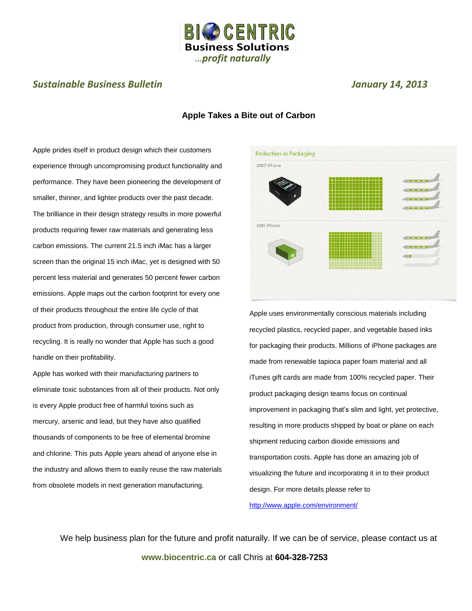

## *Sustainable Business Bulletin January 14, 2013*

## **Apple Takes a Bite out of Carbon**

Apple prides itself in product design which their customers experience through uncompromising product functionality and performance. They have been pioneering the development of smaller, thinner, and lighter products over the past decade. The brilliance in their design strategy results in more powerful products requiring fewer raw materials and generating less carbon emissions. The current 21.5 inch iMac has a larger screen than the original 15 inch iMac, yet is designed with 50 percent less material and generates 50 percent fewer carbon emissions. Apple maps out the carbon footprint for every one of their products throughout the entire life cycle of that product from production, through consumer use, right to recycling. It is really no wonder that Apple has such a good handle on their profitability.

Apple has worked with their manufacturing partners to eliminate toxic substances from all of their products. Not only is every Apple product free of harmful toxins such as mercury, arsenic and lead, but they have also qualified thousands of components to be free of elemental bromine and chlorine. This puts Apple years ahead of anyone else in the industry and allows them to easily reuse the raw materials from obsolete models in next generation manufacturing.



Apple uses environmentally conscious materials including recycled plastics, recycled paper, and vegetable based inks for packaging their products. Millions of iPhone packages are made from renewable tapioca paper foam material and all iTunes gift cards are made from 100% recycled paper. Their product packaging design teams focus on continual improvement in packaging that's slim and light, yet protective, resulting in more products shipped by boat or plane on each shipment reducing carbon dioxide emissions and transportation costs. Apple has done an amazing job of visualizing the future and incorporating it in to their product design. For more details please refer to <http://www.apple.com/environment/>

We help business plan for the future and profit naturally. If we can be of service, please contact us at **www.biocentric.ca** or call Chris at **604-328-7253**